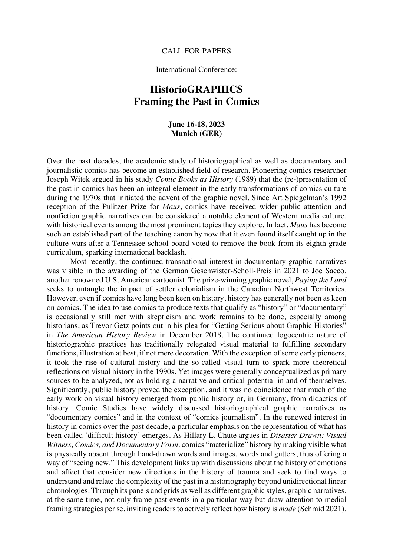#### CALL FOR PAPERS

### International Conference:

# **HistorioGRAPHICS Framing the Past in Comics**

### **June 16-18, 2023 Munich (GER)**

Over the past decades, the academic study of historiographical as well as documentary and journalistic comics has become an established field of research. Pioneering comics researcher Joseph Witek argued in his study *Comic Books as History* (1989) that the (re-)presentation of the past in comics has been an integral element in the early transformations of comics culture during the 1970s that initiated the advent of the graphic novel. Since Art Spiegelman's 1992 reception of the Pulitzer Prize for *Maus*, comics have received wider public attention and nonfiction graphic narratives can be considered a notable element of Western media culture, with historical events among the most prominent topics they explore. In fact, *Maus* has become such an established part of the teaching canon by now that it even found itself caught up in the culture wars after a Tennessee school board voted to remove the book from its eighth-grade curriculum, sparking international backlash.

Most recently, the continued transnational interest in documentary graphic narratives was visible in the awarding of the German Geschwister-Scholl-Preis in 2021 to Joe Sacco, another renowned U.S. American cartoonist. The prize-winning graphic novel, *Paying the Land* seeks to untangle the impact of settler colonialism in the Canadian Northwest Territories. However, even if comics have long been keen on history, history has generally not been as keen on comics. The idea to use comics to produce texts that qualify as "history" or "documentary" is occasionally still met with skepticism and work remains to be done, especially among historians, as Trevor Getz points out in his plea for "Getting Serious about Graphic Histories" in *The American History Review* in December 2018. The continued logocentric nature of historiographic practices has traditionally relegated visual material to fulfilling secondary functions, illustration at best, if not mere decoration. With the exception of some early pioneers, it took the rise of cultural history and the so-called visual turn to spark more theoretical reflections on visual history in the 1990s. Yet images were generally conceptualized as primary sources to be analyzed, not as holding a narrative and critical potential in and of themselves. Significantly, public history proved the exception, and it was no coincidence that much of the early work on visual history emerged from public history or, in Germany, from didactics of history. Comic Studies have widely discussed historiographical graphic narratives as "documentary comics" and in the context of "comics journalism". In the renewed interest in history in comics over the past decade, a particular emphasis on the representation of what has been called 'difficult history' emerges. As Hillary L. Chute argues in *Disaster Drawn: Visual Witness, Comics, and Documentary Form,* comics "materialize" history by making visible what is physically absent through hand-drawn words and images, words and gutters, thus offering a way of "seeing new." This development links up with discussions about the history of emotions and affect that consider new directions in the history of trauma and seek to find ways to understand and relate the complexity of the past in a historiography beyond unidirectional linear chronologies. Through its panels and grids as well as different graphic styles, graphic narratives, at the same time, not only frame past events in a particular way but draw attention to medial framing strategies per se, inviting readers to actively reflect how history is *made* (Schmid 2021).